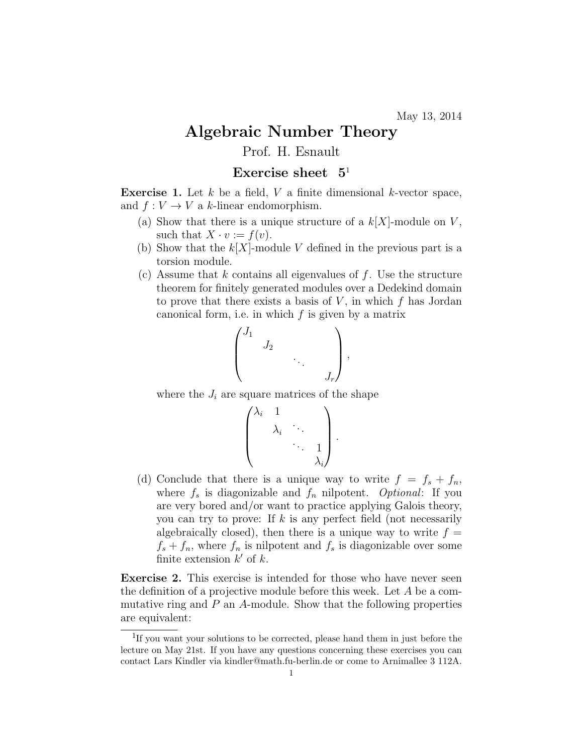## Algebraic Number Theory Prof. H. Esnault

## Exercise sheet  $5<sup>1</sup>$

**Exercise 1.** Let  $k$  be a field,  $V$  a finite dimensional  $k$ -vector space, and  $f: V \to V$  a k-linear endomorphism.

- (a) Show that there is a unique structure of a  $k[X]$ -module on V, such that  $X \cdot v := f(v)$ .
- (b) Show that the  $k[X]$ -module V defined in the previous part is a torsion module.
- (c) Assume that k contains all eigenvalues of f. Use the structure theorem for finitely generated modules over a Dedekind domain to prove that there exists a basis of  $V$ , in which  $f$  has Jordan canonical form, i.e. in which  $f$  is given by a matrix

$$
\begin{pmatrix} J_1 & & & \\ & J_2 & & \\ & & \ddots & \\ & & & J_r \end{pmatrix},
$$

where the  $J_i$  are square matrices of the shape

$$
\begin{pmatrix} \lambda_i & 1 & & \\ & \lambda_i & \ddots & \\ & & \ddots & 1 \\ & & & \lambda_i \end{pmatrix}
$$

.

(d) Conclude that there is a unique way to write  $f = f_s + f_n$ , where  $f_s$  is diagonizable and  $f_n$  nilpotent. Optional: If you are very bored and/or want to practice applying Galois theory, you can try to prove: If k is any perfect field (not necessarily algebraically closed), then there is a unique way to write  $f =$  $f_s + f_n$ , where  $f_n$  is nilpotent and  $f_s$  is diagonizable over some finite extension  $k'$  of  $k$ .

Exercise 2. This exercise is intended for those who have never seen the definition of a projective module before this week. Let A be a commutative ring and  $P$  an  $A$ -module. Show that the following properties are equivalent:

<sup>&</sup>lt;sup>1</sup>If you want your solutions to be corrected, please hand them in just before the lecture on May 21st. If you have any questions concerning these exercises you can contact Lars Kindler via kindler@math.fu-berlin.de or come to Arnimallee 3 112A.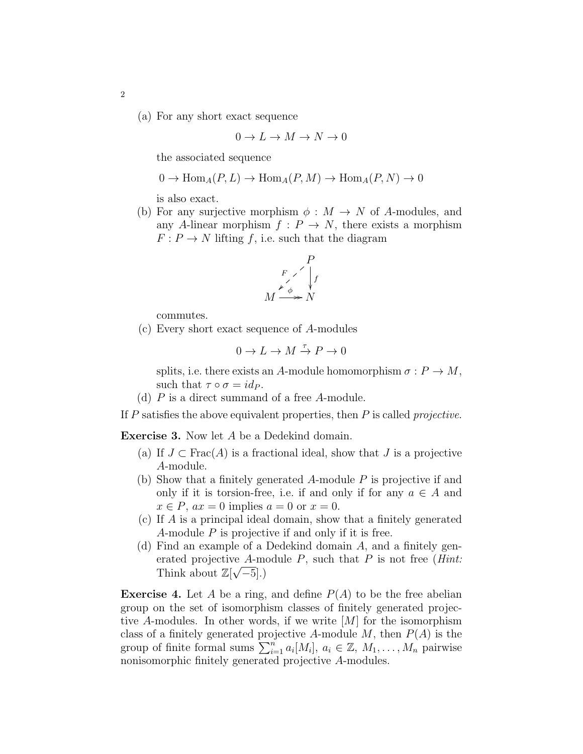(a) For any short exact sequence

$$
0\to L\to M\to N\to 0
$$

the associated sequence

$$
0 \to \text{Hom}_A(P, L) \to \text{Hom}_A(P, M) \to \text{Hom}_A(P, N) \to 0
$$

is also exact.

(b) For any surjective morphism  $\phi : M \to N$  of A-modules, and any A-linear morphism  $f: P \to N$ , there exists a morphism  $F: P \to N$  lifting f, i.e. such that the diagram

$$
\begin{array}{c}\n P \\
F \nearrow \downarrow \\
M \xrightarrow{\neq} N\n\end{array}
$$

commutes.

(c) Every short exact sequence of A-modules

$$
0 \to L \to M \xrightarrow{\tau} P \to 0
$$

splits, i.e. there exists an A-module homomorphism  $\sigma: P \to M$ , such that  $\tau \circ \sigma = id_P$ .

(d)  $P$  is a direct summand of a free  $A$ -module.

If  $P$  satisfies the above equivalent properties, then  $P$  is called *projective*.

Exercise 3. Now let A be a Dedekind domain.

- (a) If  $J \subset \text{Frac}(A)$  is a fractional ideal, show that  $J$  is a projective A-module.
- (b) Show that a finitely generated A-module P is projective if and only if it is torsion-free, i.e. if and only if for any  $a \in A$  and  $x \in P$ ,  $ax = 0$  implies  $a = 0$  or  $x = 0$ .
- (c) If A is a principal ideal domain, show that a finitely generated A-module P is projective if and only if it is free.
- (d) Find an example of a Dedekind domain A, and a finitely generated projective A-module P, such that P is not free (*Hint*: Think about  $\mathbb{Z}[\sqrt{-5}]$ .)

**Exercise 4.** Let A be a ring, and define  $P(A)$  to be the free abelian group on the set of isomorphism classes of finitely generated projective A-modules. In other words, if we write  $|M|$  for the isomorphism class of a finitely generated projective A-module  $M$ , then  $P(A)$  is the group of finite formal sums  $\sum_{i=1}^{n} a_i [M_i]$ ,  $a_i \in \mathbb{Z}$ ,  $M_1, \ldots, M_n$  pairwise nonisomorphic finitely generated projective A-modules.

2